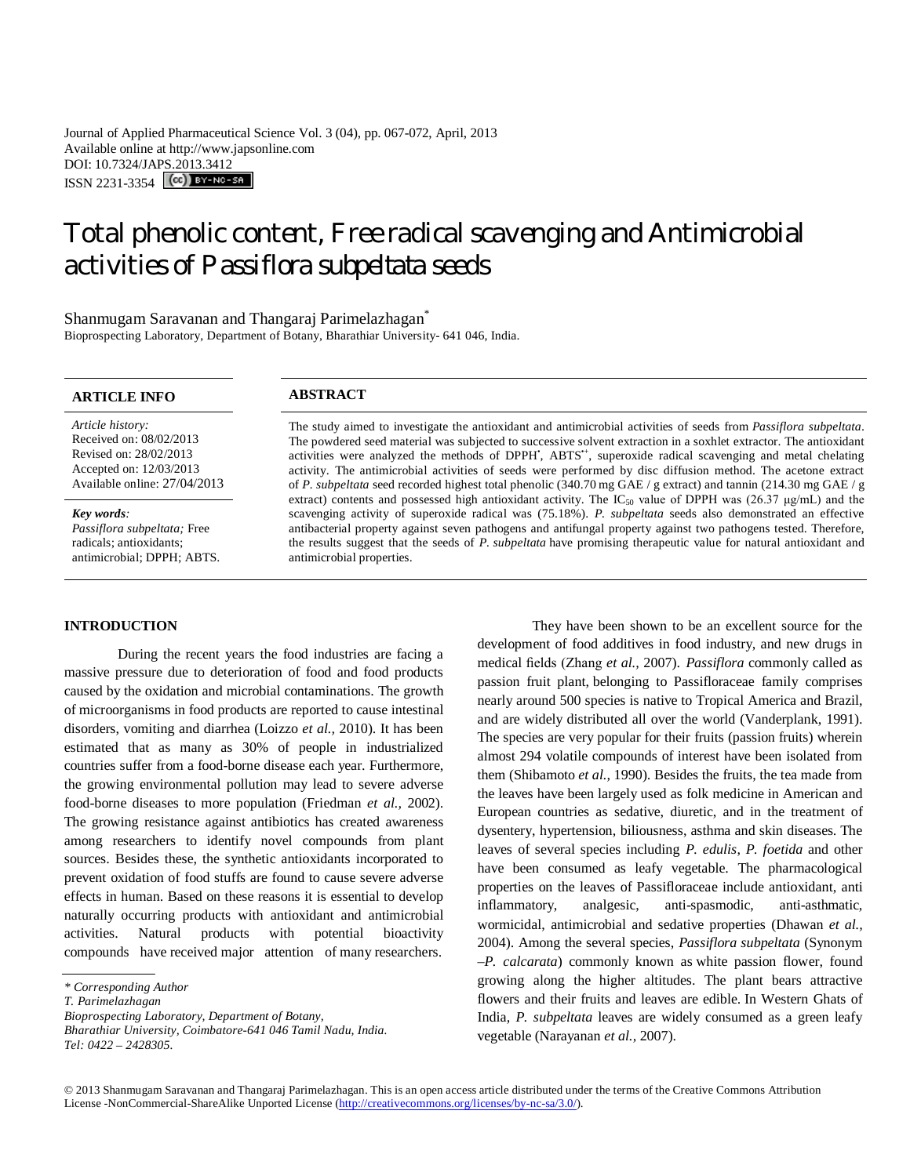Journal of Applied Pharmaceutical Science Vol. 3 (04), pp. 067-072, April, 2013 Available online at http://www.japsonline.com DOI: 10.7324/JAPS.2013.3412 ISSN 2231-3354 **(cc)** BY-NO-SA

# Total phenolic content, Free radical scavenging and Antimicrobial activities of *Passiflora subpeltata* seeds

Shanmugam Saravanan and Thangaraj Parimelazhagan<sup>\*</sup> Bioprospecting Laboratory, Department of Botany, Bharathiar University- 641 046, India.

# **ARTICLE INFO ABSTRACT**

*Article history:* Received on: 08/02/2013 Revised on: 28/02/2013 Accepted on: 12/03/2013 Available online: 27/04/2013

*Key words: Passiflora subpeltata;* Free radicals; antioxidants; antimicrobial; DPPH; ABTS. The study aimed to investigate the antioxidant and antimicrobial activities of seeds from *Passiflora subpeltata*. The powdered seed material was subjected to successive solvent extraction in a soxhlet extractor. The antioxidant activities were analyzed the methods of DPPH, ABTS<sup>+</sup>, superoxide radical scavenging and metal chelating activity. The antimicrobial activities of seeds were performed by disc diffusion method. The acetone extract of *P. subpeltata* seed recorded highest total phenolic (340.70 mg GAE / g extract) and tannin (214.30 mg GAE / g extract) contents and possessed high antioxidant activity. The IC<sub>50</sub> value of DPPH was (26.37  $\mu$ g/mL) and the scavenging activity of superoxide radical was (75.18%). *P. subpeltata* seeds also demonstrated an effective antibacterial property against seven pathogens and antifungal property against two pathogens tested. Therefore, the results suggest that the seeds of *P. subpeltata* have promising therapeutic value for natural antioxidant and antimicrobial properties.

# **INTRODUCTION**

During the recent years the food industries are facing a massive pressure due to deterioration of food and food products caused by the oxidation and microbial contaminations. The growth of microorganisms in food products are reported to cause intestinal disorders, vomiting and diarrhea (Loizzo *et al.,* 2010). It has been estimated that as many as 30% of people in industrialized countries suffer from a food-borne disease each year. Furthermore, the growing environmental pollution may lead to severe adverse food-borne diseases to more population (Friedman *et al.,* 2002). The growing resistance against antibiotics has created awareness among researchers to identify novel compounds from plant sources. Besides these, the synthetic antioxidants incorporated to prevent oxidation of food stuffs are found to cause severe adverse effects in human. Based on these reasons it is essential to develop naturally occurring products with antioxidant and antimicrobial activities. Natural products with potential bioactivity compounds have received major attention of many researchers. .

They have been shown to be an excellent source for the development of food additives in food industry, and new drugs in medical fields (Zhang *et al.,* 2007). *Passiflora* commonly called as passion fruit plant, belonging to Passifloraceae family comprises nearly around 500 species is native to Tropical America and Brazil, and are widely distributed all over the world (Vanderplank, 1991). The species are very popular for their fruits (passion fruits) wherein almost 294 volatile compounds of interest have been isolated from them (Shibamoto *et al.,* 1990). Besides the fruits, the tea made from the leaves have been largely used as folk medicine in American and European countries as sedative, diuretic, and in the treatment of dysentery, hypertension, biliousness, asthma and skin diseases. The leaves of several species including *P. edulis*, *P. foetida* and other have been consumed as leafy vegetable. The pharmacological properties on the leaves of Passifloraceae include antioxidant, anti inflammatory, analgesic, anti-spasmodic, anti-asthmatic, wormicidal, antimicrobial and sedative properties (Dhawan *et al.,* 2004). Among the several species, *Passiflora subpeltata* (Synonym –*P. calcarata*) commonly known as white passion flower, found growing along the higher altitudes. The plant bears attractive flowers and their fruits and leaves are edible. In Western Ghats of India, *P. subpeltata* leaves are widely consumed as a green leafy vegetable (Narayanan *et al.,* 2007).

*<sup>\*</sup> Corresponding Author*

*T. Parimelazhagan*

*Bioprospecting Laboratory, Department of Botany,*

*Bharathiar University, Coimbatore-641 046 Tamil Nadu, India. Tel: 0422 – 2428305.*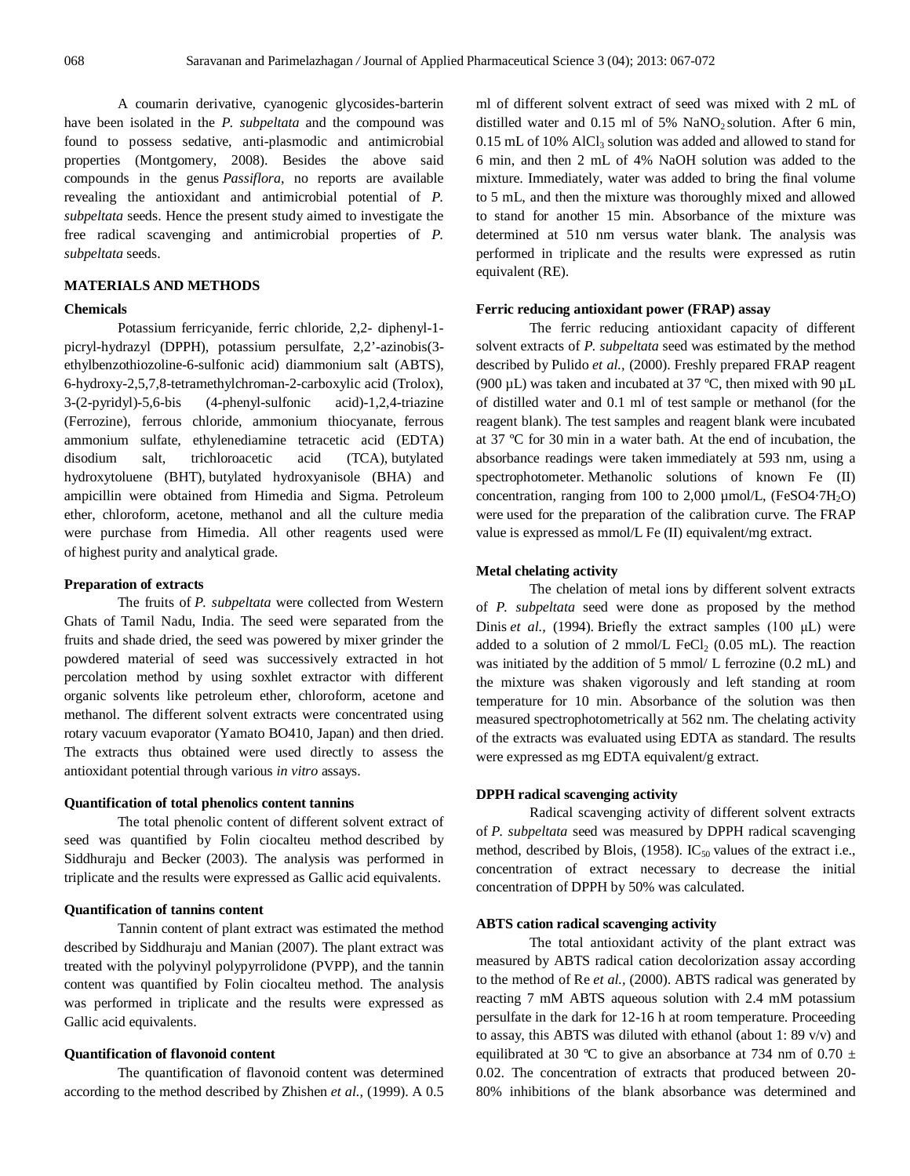A coumarin derivative, cyanogenic glycosides-barterin have been isolated in the *P. subpeltata* and the compound was found to possess sedative, anti-plasmodic and antimicrobial properties (Montgomery, 2008). Besides the above said compounds in the genus *Passiflora*, no reports are available revealing the antioxidant and antimicrobial potential of *P. subpeltata* seeds. Hence the present study aimed to investigate the free radical scavenging and antimicrobial properties of *P. subpeltata* seeds.

# **MATERIALS AND METHODS**

#### **Chemicals**

Potassium ferricyanide, ferric chloride, 2,2- diphenyl-1 picryl-hydrazyl (DPPH), potassium persulfate, 2,2'-azinobis(3 ethylbenzothiozoline-6-sulfonic acid) diammonium salt (ABTS), 6-hydroxy-2,5,7,8-tetramethylchroman-2-carboxylic acid (Trolox), 3-(2-pyridyl)-5,6-bis (4-phenyl-sulfonic acid)-1,2,4-triazine (Ferrozine), ferrous chloride, ammonium thiocyanate, ferrous ammonium sulfate, ethylenediamine tetracetic acid (EDTA) disodium salt, trichloroacetic acid (TCA), butylated hydroxytoluene (BHT), butylated hydroxyanisole (BHA) and ampicillin were obtained from Himedia and Sigma. Petroleum ether, chloroform, acetone, methanol and all the culture media were purchase from Himedia. All other reagents used were of highest purity and analytical grade.

# **Preparation of extracts**

The fruits of *P. subpeltata* were collected from Western Ghats of Tamil Nadu, India. The seed were separated from the fruits and shade dried, the seed was powered by mixer grinder the powdered material of seed was successively extracted in hot percolation method by using soxhlet extractor with different organic solvents like petroleum ether, chloroform, acetone and methanol. The different solvent extracts were concentrated using rotary vacuum evaporator (Yamato BO410, Japan) and then dried. The extracts thus obtained were used directly to assess the antioxidant potential through various *in vitro* assays.

# **Quantification of total phenolics content tannins**

The total phenolic content of different solvent extract of seed was quantified by Folin ciocalteu method described by Siddhuraju and Becker (2003). The analysis was performed in triplicate and the results were expressed as Gallic acid equivalents.

# **Quantification of tannins content**

Tannin content of plant extract was estimated the method described by Siddhuraju and Manian (2007). The plant extract was treated with the polyvinyl polypyrrolidone (PVPP), and the tannin content was quantified by Folin ciocalteu method. The analysis was performed in triplicate and the results were expressed as Gallic acid equivalents.

# **Quantification of flavonoid content**

The quantification of flavonoid content was determined according to the method described by Zhishen *et al.,* (1999). A 0.5

ml of different solvent extract of seed was mixed with 2 mL of distilled water and  $0.15$  ml of 5% NaNO<sub>2</sub> solution. After 6 min,  $0.15$  mL of 10% AlCl<sub>3</sub> solution was added and allowed to stand for 6 min, and then 2 mL of 4% NaOH solution was added to the mixture. Immediately, water was added to bring the final volume to 5 mL, and then the mixture was thoroughly mixed and allowed to stand for another 15 min. Absorbance of the mixture was determined at 510 nm versus water blank. The analysis was performed in triplicate and the results were expressed as rutin equivalent (RE).

#### **Ferric reducing antioxidant power (FRAP) assay**

The ferric reducing antioxidant capacity of different solvent extracts of *P. subpeltata* seed was estimated by the method described by Pulido *et al.,* (2000). Freshly prepared FRAP reagent (900  $\mu$ L) was taken and incubated at 37 °C, then mixed with 90  $\mu$ L of distilled water and 0.1 ml of test sample or methanol (for the reagent blank). The test samples and reagent blank were incubated at 37 ºC for 30 min in a water bath. At the end of incubation, the absorbance readings were taken immediately at 593 nm, using a spectrophotometer. Methanolic solutions of known Fe (II) concentration, ranging from 100 to 2,000  $\mu$ mol/L, (FeSO4·7H<sub>2</sub>O) were used for the preparation of the calibration curve. The FRAP value is expressed as mmol/L Fe (II) equivalent/mg extract.

### **Metal chelating activity**

The chelation of metal ions by different solvent extracts of *P. subpeltata* seed were done as proposed by the method Dinis *et al.,* (1994). Briefly the extract samples (100 μL) were added to a solution of 2 mmol/L FeCl<sub>2</sub> (0.05 mL). The reaction was initiated by the addition of 5 mmol/ L ferrozine (0.2 mL) and the mixture was shaken vigorously and left standing at room temperature for 10 min. Absorbance of the solution was then measured spectrophotometrically at 562 nm. The chelating activity of the extracts was evaluated using EDTA as standard. The results were expressed as mg EDTA equivalent/g extract.

#### **DPPH radical scavenging activity**

Radical scavenging activity of different solvent extracts of *P. subpeltata* seed was measured by DPPH radical scavenging method, described by Blois, (1958).  $IC_{50}$  values of the extract i.e., concentration of extract necessary to decrease the initial concentration of DPPH by 50% was calculated.

#### **ABTS cation radical scavenging activity**

The total antioxidant activity of the plant extract was measured by ABTS radical cation decolorization assay according to the method of Re *et al.,* (2000). ABTS radical was generated by reacting 7 mM ABTS aqueous solution with 2.4 mM potassium persulfate in the dark for 12-16 h at room temperature. Proceeding to assay, this ABTS was diluted with ethanol (about 1: 89 v/v) and equilibrated at 30 °C to give an absorbance at 734 nm of 0.70  $\pm$ 0.02. The concentration of extracts that produced between 20- 80% inhibitions of the blank absorbance was determined and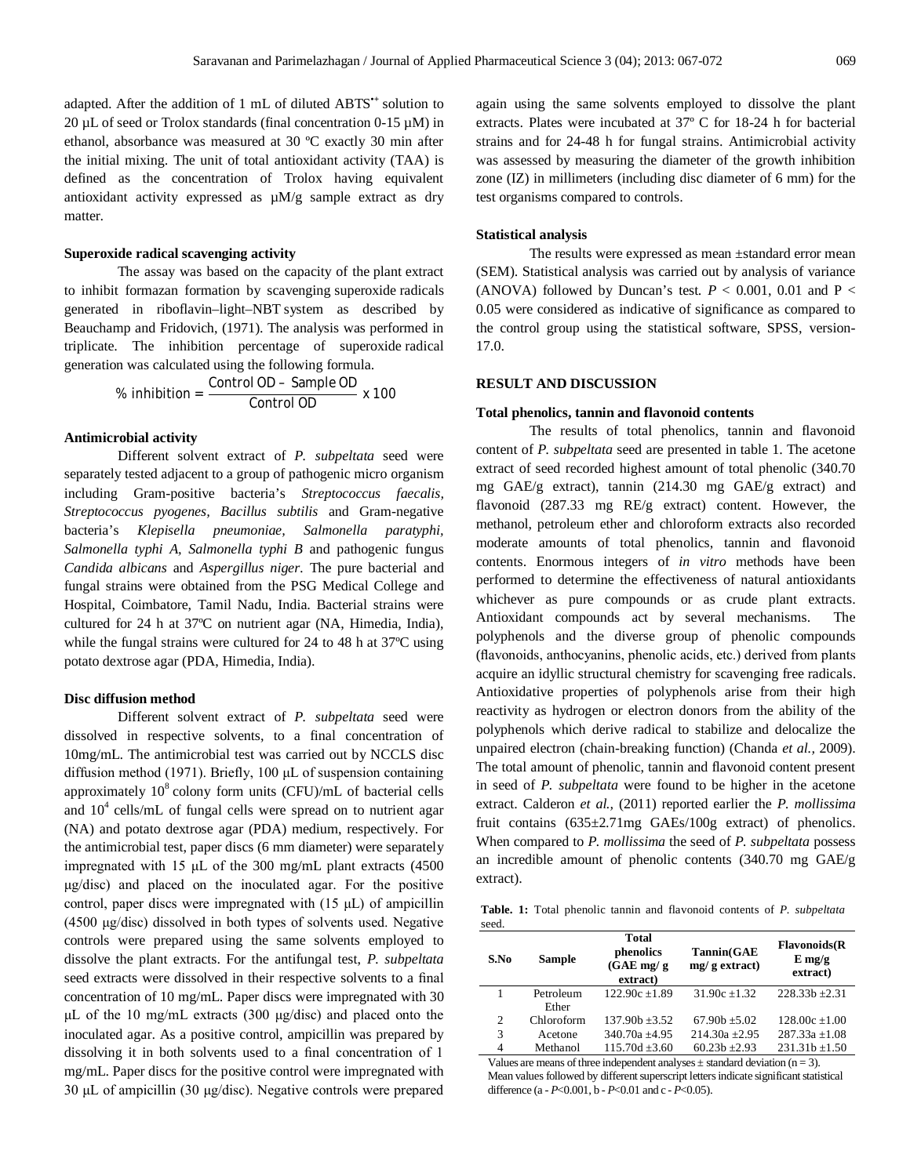adapted. After the addition of 1 mL of diluted ABTS**•+** solution to 20  $\mu$ L of seed or Trolox standards (final concentration 0-15  $\mu$ M) in ethanol, absorbance was measured at 30 ºC exactly 30 min after the initial mixing. The unit of total antioxidant activity (TAA) is defined as the concentration of Trolox having equivalent antioxidant activity expressed as µM/g sample extract as dry matter.

# **Superoxide radical scavenging activity**

The assay was based on the capacity of the plant extract to inhibit formazan formation by scavenging superoxide radicals generated in riboflavin–light–NBT system as described by Beauchamp and Fridovich, (1971). The analysis was performed in triplicate. The inhibition percentage of superoxide radical generation was calculated using the following formula.

$$
\% inhibition = \frac{Control OD - Sample OD}{Control OD} \times 100
$$

#### **Antimicrobial activity**

Different solvent extract of *P. subpeltata* seed were separately tested adjacent to a group of pathogenic micro organism including Gram-positive bacteria's *Streptococcus faecalis, Streptococcus pyogenes, Bacillus subtilis* and Gram-negative bacteria's *Klepisella pneumoniae, Salmonella paratyphi, Salmonella typhi A, Salmonella typhi B* and pathogenic fungus *Candida albicans* and *Aspergillus niger.* The pure bacterial and fungal strains were obtained from the PSG Medical College and Hospital, Coimbatore, Tamil Nadu, India. Bacterial strains were cultured for 24 h at 37ºC on nutrient agar (NA, Himedia, India), while the fungal strains were cultured for 24 to 48 h at 37ºC using potato dextrose agar (PDA, Himedia, India).

#### **Disc diffusion method**

Different solvent extract of *P. subpeltata* seed were dissolved in respective solvents, to a final concentration of 10mg/mL. The antimicrobial test was carried out by NCCLS disc diffusion method (1971). Briefly, 100 μL of suspension containing approximately  $10^8$  colony form units (CFU)/mL of bacterial cells and  $10^4$  cells/mL of fungal cells were spread on to nutrient agar (NA) and potato dextrose agar (PDA) medium, respectively. For the antimicrobial test, paper discs (6 mm diameter) were separately impregnated with 15 μL of the 300 mg/mL plant extracts (4500 μg/disc) and placed on the inoculated agar. For the positive control, paper discs were impregnated with  $(15 \mu L)$  of ampicillin (4500 μg/disc) dissolved in both types of solvents used. Negative controls were prepared using the same solvents employed to dissolve the plant extracts. For the antifungal test, *P. subpeltata*  seed extracts were dissolved in their respective solvents to a final concentration of 10 mg/mL. Paper discs were impregnated with 30 μL of the 10 mg/mL extracts (300 μg/disc) and placed onto the inoculated agar. As a positive control, ampicillin was prepared by dissolving it in both solvents used to a final concentration of 1 mg/mL. Paper discs for the positive control were impregnated with 30 μL of ampicillin (30 μg/disc). Negative controls were prepared

again using the same solvents employed to dissolve the plant extracts. Plates were incubated at 37º C for 18-24 h for bacterial strains and for 24-48 h for fungal strains. Antimicrobial activity was assessed by measuring the diameter of the growth inhibition zone (IZ) in millimeters (including disc diameter of 6 mm) for the test organisms compared to controls.

#### **Statistical analysis**

The results were expressed as mean ±standard error mean (SEM). Statistical analysis was carried out by analysis of variance (ANOVA) followed by Duncan's test.  $P < 0.001$ , 0.01 and P < 0.05 were considered as indicative of significance as compared to the control group using the statistical software, SPSS, version-17.0.

#### **RESULT AND DISCUSSION**

#### **Total phenolics, tannin and flavonoid contents**

The results of total phenolics, tannin and flavonoid content of *P. subpeltata* seed are presented in table 1. The acetone extract of seed recorded highest amount of total phenolic (340.70 mg GAE/g extract), tannin (214.30 mg GAE/g extract) and flavonoid (287.33 mg RE/g extract) content. However, the methanol, petroleum ether and chloroform extracts also recorded moderate amounts of total phenolics, tannin and flavonoid contents. Enormous integers of *in vitro* methods have been performed to determine the effectiveness of natural antioxidants whichever as pure compounds or as crude plant extracts. Antioxidant compounds act by several mechanisms. The polyphenols and the diverse group of phenolic compounds (flavonoids, anthocyanins, phenolic acids, etc.) derived from plants acquire an idyllic structural chemistry for scavenging free radicals. Antioxidative properties of polyphenols arise from their high reactivity as hydrogen or electron donors from the ability of the polyphenols which derive radical to stabilize and delocalize the unpaired electron (chain-breaking function) (Chanda *et al.,* 2009). The total amount of phenolic, tannin and flavonoid content present in seed of *P. subpeltata* were found to be higher in the acetone extract. Calderon *et al.,* (2011) reported earlier the *P. mollissima* fruit contains (635±2.71mg GAEs/100g extract) of phenolics. When compared to *P. mollissima* the seed of *P. subpeltata* possess an incredible amount of phenolic contents (340.70 mg GAE/g extract).

**Table. 1:** Total phenolic tannin and flavonoid contents of *P. subpeltata* seed.

| S.No | Sample     | <b>Total</b><br>phenolics<br>$(GAE \, mg/g)$<br>extract) | Tannin(GAE<br>$mg/g$ extract) | <b>Flavonoids</b> (R)<br>$E$ mg/g<br>extract) |
|------|------------|----------------------------------------------------------|-------------------------------|-----------------------------------------------|
|      | Petroleum  | $122.90c \pm 1.89$                                       | $31.90c \pm 1.32$             | $228.33b \pm 2.31$                            |
|      | Ether      |                                                          |                               |                                               |
| 2    | Chloroform | $137.90h + 3.52$                                         | $67.90h + 5.02$               | $128.00c \pm 1.00$                            |
| 3    | Acetone    | $340.70a + 4.95$                                         | $214.30a + 2.95$              | $287.33a \pm 1.08$                            |
| 4    | Methanol   | $115.70d \pm 3.60$                                       | $60.23b + 2.93$               | $231.31b + 1.50$                              |
|      |            |                                                          |                               |                                               |

Values are means of three independent analyses  $\pm$  standard deviation (n = 3). Mean values followed by different superscript letters indicate significant statistical difference (a - *P*<0.001, b - *P*<0.01 and c - *P*<0.05).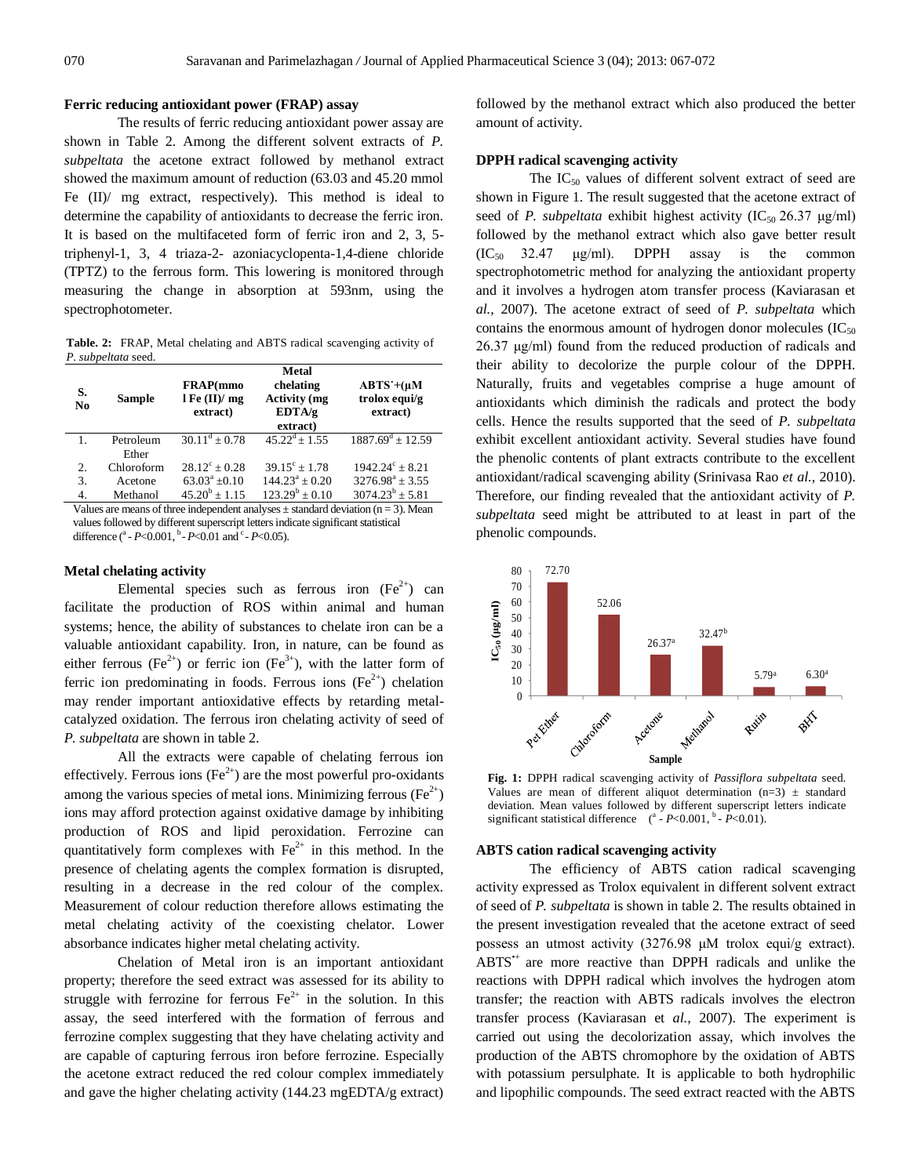# **Ferric reducing antioxidant power (FRAP) assay**

The results of ferric reducing antioxidant power assay are shown in Table 2. Among the different solvent extracts of *P. subpeltata* the acetone extract followed by methanol extract showed the maximum amount of reduction (63.03 and 45.20 mmol Fe (II)/ mg extract, respectively). This method is ideal to determine the capability of antioxidants to decrease the ferric iron. It is based on the multifaceted form of ferric iron and 2, 3, 5 triphenyl-1, 3, 4 triaza-2- azoniacyclopenta-1,4-diene chloride (TPTZ) to the ferrous form. This lowering is monitored through measuring the change in absorption at 593nm, using the spectrophotometer.

**Table. 2:** FRAP, Metal chelating and ABTS radical scavenging activity of *P. subpeltata* seed.

| S.<br>N <sub>0</sub> | <b>Sample</b> | FRAP(mmo<br>$l \mathbf{F}e(\mathbf{II})/mg$<br>extract) | <b>Metal</b><br>chelating<br><b>Activity</b> (mg<br>EDTA/g<br>extract) | $ABTS'+(\mu M)$<br>trolox equi/g<br>extract) |
|----------------------|---------------|---------------------------------------------------------|------------------------------------------------------------------------|----------------------------------------------|
|                      | Petroleum     | $30.11^d + 0.78$                                        | $45.22^{\text{d}} + 1.55$                                              | $1887.69^{\text{d}} \pm 12.59$               |
|                      | Ether         |                                                         |                                                                        |                                              |
| 2.                   | Chloroform    | $28.12^{\circ} + 0.28$                                  | $39.15^{\circ} + 1.78$                                                 | $1942.24^{\circ} + 8.21$                     |
| 3.                   | Acetone       | $63.03^a + 0.10$                                        | $144.23^a + 0.20$                                                      | $3276.98^a \pm 3.55$                         |
| 4.                   | Methanol      | $45.20^b + 1.15$                                        | $123.29^{b} + 0.10$                                                    | $3074.23^b \pm 5.81$                         |
|                      |               |                                                         |                                                                        |                                              |

Values are means of three independent analyses  $\pm$  standard deviation (n = 3). Mean values followed by different superscript letters indicate significant statistical difference (<sup>a</sup> - *P*<0.001, <sup>b</sup> - *P*<0.01 and <sup>c</sup> - *P*<0.05).

### **Metal chelating activity**

Elemental species such as ferrous iron  $(Fe<sup>2+</sup>)$  can facilitate the production of ROS within animal and human systems; hence, the ability of substances to chelate iron can be a valuable antioxidant capability. Iron, in nature, can be found as either ferrous (Fe<sup>2+</sup>) or ferric ion (Fe<sup>3+</sup>), with the latter form of ferric ion predominating in foods. Ferrous ions  $(Fe^{2+})$  chelation may render important antioxidative effects by retarding metalcatalyzed oxidation. The ferrous iron chelating activity of seed of *P. subpeltata* are shown in table 2.

All the extracts were capable of chelating ferrous ion effectively. Ferrous ions ( $Fe^{2+}$ ) are the most powerful pro-oxidants among the various species of metal ions. Minimizing ferrous ( $Fe^{2+}$ ) ions may afford protection against oxidative damage by inhibiting production of ROS and lipid peroxidation. Ferrozine can quantitatively form complexes with  $Fe<sup>2+</sup>$  in this method. In the presence of chelating agents the complex formation is disrupted, resulting in a decrease in the red colour of the complex. Measurement of colour reduction therefore allows estimating the metal chelating activity of the coexisting chelator. Lower absorbance indicates higher metal chelating activity.

Chelation of Metal iron is an important antioxidant property; therefore the seed extract was assessed for its ability to struggle with ferrozine for ferrous  $Fe^{2+}$  in the solution. In this assay, the seed interfered with the formation of ferrous and ferrozine complex suggesting that they have chelating activity and are capable of capturing ferrous iron before ferrozine. Especially the acetone extract reduced the red colour complex immediately and gave the higher chelating activity (144.23 mgEDTA/g extract) followed by the methanol extract which also produced the better amount of activity.

#### **DPPH radical scavenging activity**

The  $IC_{50}$  values of different solvent extract of seed are shown in Figure 1. The result suggested that the acetone extract of seed of *P. subpeltata* exhibit highest activity (IC<sub>50</sub> 26.37 μg/ml) followed by the methanol extract which also gave better result  $(IC_{50}$  32.47  $\mu$ g/ml). DPPH assay is the common spectrophotometric method for analyzing the antioxidant property and it involves a hydrogen atom transfer process (Kaviarasan et *al.,* 2007). The acetone extract of seed of *P. subpeltata* which contains the enormous amount of hydrogen donor molecules  $(IC_{50})$ 26.37 μg/ml) found from the reduced production of radicals and their ability to decolorize the purple colour of the DPPH. Naturally, fruits and vegetables comprise a huge amount of antioxidants which diminish the radicals and protect the body cells. Hence the results supported that the seed of *P. subpeltata*  exhibit excellent antioxidant activity. Several studies have found the phenolic contents of plant extracts contribute to the excellent antioxidant/radical scavenging ability (Srinivasa Rao *et al.,* 2010). Therefore, our finding revealed that the antioxidant activity of *P. subpeltata* seed might be attributed to at least in part of the phenolic compounds.



**Fig. 1:** DPPH radical scavenging activity of *Passiflora subpeltata* seed. Values are mean of different aliquot determination  $(n=3)$   $\pm$  standard deviation. Mean values followed by different superscript letters indicate significant statistical difference  $(^{a}$  -  $P<0.001$ ,  $^{b}$  -  $P<0.01$ ).

#### **ABTS cation radical scavenging activity**

The efficiency of ABTS cation radical scavenging activity expressed as Trolox equivalent in different solvent extract of seed of *P. subpeltata* is shown in table 2. The results obtained in the present investigation revealed that the acetone extract of seed possess an utmost activity (3276.98 μM trolox equi/g extract). ABTS<sup>\*+</sup> are more reactive than DPPH radicals and unlike the reactions with DPPH radical which involves the hydrogen atom transfer; the reaction with ABTS radicals involves the electron transfer process (Kaviarasan et *al.,* 2007). The experiment is carried out using the decolorization assay, which involves the production of the ABTS chromophore by the oxidation of ABTS with potassium persulphate. It is applicable to both hydrophilic and lipophilic compounds. The seed extract reacted with the ABTS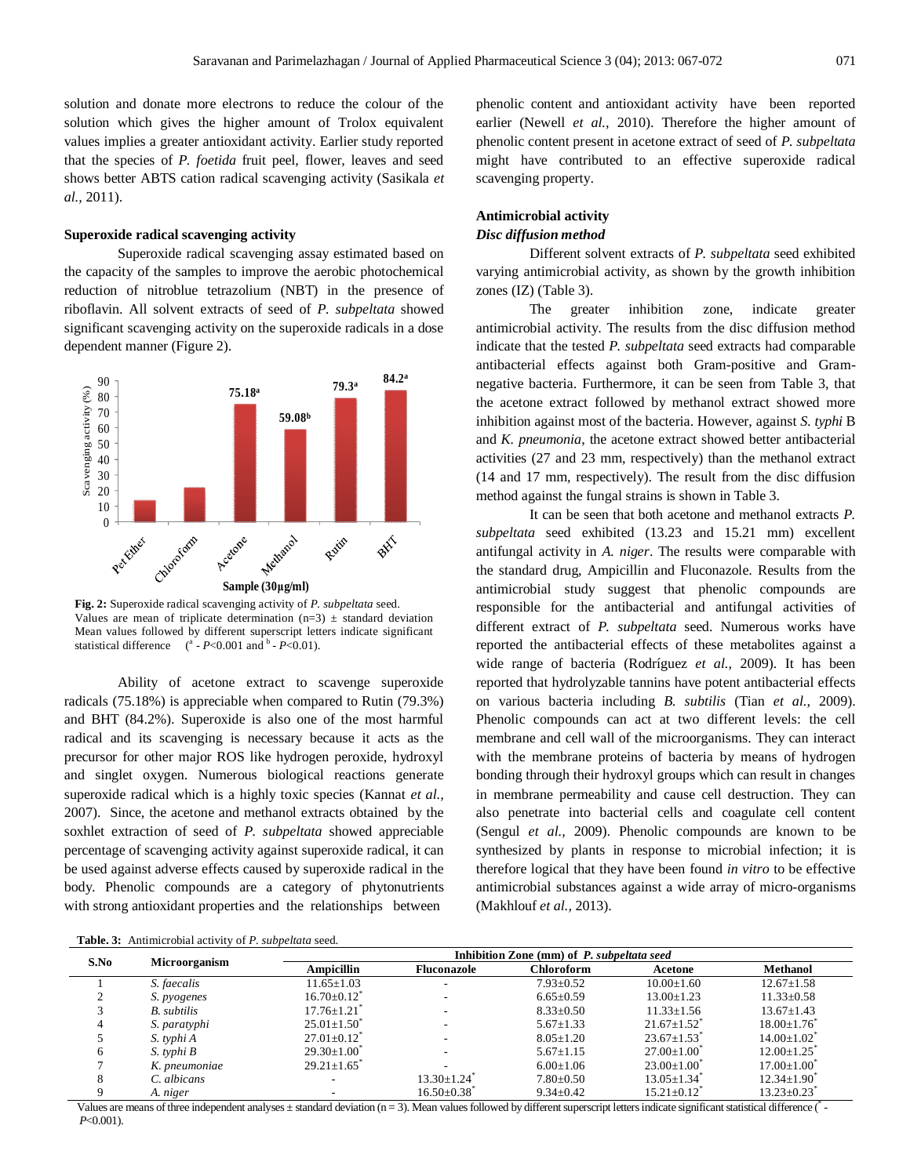solution and donate more electrons to reduce the colour of the solution which gives the higher amount of Trolox equivalent values implies a greater antioxidant activity. Earlier study reported that the species of *P. foetida* fruit peel, flower, leaves and seed shows better ABTS cation radical scavenging activity (Sasikala *et al.,* 2011).

#### **Superoxide radical scavenging activity**

Superoxide radical scavenging assay estimated based on the capacity of the samples to improve the aerobic photochemical reduction of nitroblue tetrazolium (NBT) in the presence of riboflavin. All solvent extracts of seed of *P. subpeltata* showed significant scavenging activity on the superoxide radicals in a dose dependent manner (Figure 2).



**Fig. 2:** Superoxide radical scavenging activity of *P. subpeltata* seed. Values are mean of triplicate determination  $(n=3)$   $\pm$  standard deviation Mean values followed by different superscript letters indicate significant statistical difference  $\left( \begin{array}{cc} a & -P < 0.001 \end{array} \right)$  and  $\left( \begin{array}{cc} b & -P < 0.01 \end{array} \right)$ .

Ability of acetone extract to scavenge superoxide radicals (75.18%) is appreciable when compared to Rutin (79.3%) and BHT (84.2%). Superoxide is also one of the most harmful radical and its scavenging is necessary because it acts as the precursor for other major ROS like hydrogen peroxide, hydroxyl and singlet oxygen. Numerous biological reactions generate superoxide radical which is a highly toxic species (Kannat *et al.,* 2007). Since, the acetone and methanol extracts obtained by the soxhlet extraction of seed of *P. subpeltata* showed appreciable percentage of scavenging activity against superoxide radical, it can be used against adverse effects caused by superoxide radical in the body. Phenolic compounds are a category of phytonutrients with strong antioxidant properties and the relationships between

**Table. 3:** Antimicrobial activity of *P. subpeltata* seed.

phenolic content and antioxidant activity have been reported earlier (Newell *et al.,* 2010). Therefore the higher amount of phenolic content present in acetone extract of seed of *P. subpeltata*  might have contributed to an effective superoxide radical scavenging property.

# **Antimicrobial activity** *Disc diffusion method*

Different solvent extracts of *P. subpeltata* seed exhibited varying antimicrobial activity, as shown by the growth inhibition zones (IZ) (Table 3).

The greater inhibition zone, indicate greater antimicrobial activity. The results from the disc diffusion method indicate that the tested *P. subpeltata* seed extracts had comparable antibacterial effects against both Gram-positive and Gramnegative bacteria. Furthermore, it can be seen from Table 3, that the acetone extract followed by methanol extract showed more inhibition against most of the bacteria. However, against *S. typhi* B and *K. pneumonia*, the acetone extract showed better antibacterial activities (27 and 23 mm, respectively) than the methanol extract (14 and 17 mm, respectively). The result from the disc diffusion method against the fungal strains is shown in Table 3.

It can be seen that both acetone and methanol extracts *P. subpeltata* seed exhibited (13.23 and 15.21 mm) excellent antifungal activity in *A. niger*. The results were comparable with the standard drug, Ampicillin and Fluconazole. Results from the antimicrobial study suggest that phenolic compounds are responsible for the antibacterial and antifungal activities of different extract of *P. subpeltata* seed. Numerous works have reported the antibacterial effects of these metabolites against a wide range of bacteria (Rodríguez *et al.,* 2009). It has been reported that hydrolyzable tannins have potent antibacterial effects on various bacteria including *B. subtilis* (Tian *et al.,* 2009). Phenolic compounds can act at two different levels: the cell membrane and cell wall of the microorganisms. They can interact with the membrane proteins of bacteria by means of hydrogen bonding through their hydroxyl groups which can result in changes in membrane permeability and cause cell destruction. They can also penetrate into bacterial cells and coagulate cell content (Sengul *et al.,* 2009). Phenolic compounds are known to be synthesized by plants in response to microbial infection; it is therefore logical that they have been found *in vitro* to be effective antimicrobial substances against a wide array of micro-organisms (Makhlouf *et al.,* 2013).

| S.No |                    |                               | Inhibition Zone (mm) of P. subpeltata seed |                 |                               |                               |  |
|------|--------------------|-------------------------------|--------------------------------------------|-----------------|-------------------------------|-------------------------------|--|
|      | Microorganism      | Ampicillin                    | <b>Fluconazole</b>                         | Chloroform      | Acetone                       | <b>Methanol</b>               |  |
|      | S. faecalis        | $11.65 \pm 1.03$              |                                            | $7.93 \pm 0.52$ | $10.00 \pm 1.60$              | $12.67 \pm 1.58$              |  |
|      | <i>S. pyogenes</i> | $16.70 \pm 0.12$ <sup>*</sup> |                                            | $6.65 \pm 0.59$ | $13.00 \pm 1.23$              | $11.33 \pm 0.58$              |  |
|      | <b>B.</b> subtilis | $17.76 \pm 1.21$              |                                            | $8.33 \pm 0.50$ | $11.33 \pm 1.56$              | $13.67 \pm 1.43$              |  |
|      | S. paratyphi       | $25.01 \pm 1.50$              |                                            | $5.67 \pm 1.33$ | $21.67 \pm 1.52$              | $18.00 \pm 1.76$              |  |
|      | S. typhi A         | $27.01 \pm 0.12$ <sup>*</sup> |                                            | $8.05 \pm 1.20$ | $23.67 \pm 1.53$ <sup>*</sup> | $14.00 \pm 1.02$ <sup>*</sup> |  |
|      | S. typhi B         | $29.30 \pm 1.00^{\circ}$      |                                            | $5.67 \pm 1.15$ | $27.00 \pm 1.00^{\circ}$      | $12.00 \pm 1.25$              |  |
|      | K. pneumoniae      | $29.21 \pm 1.65$ <sup>*</sup> |                                            | $6.00+1.06$     | $23.00 \pm 1.00$              | $17.00 \pm 1.00$              |  |
|      | C. albicans        |                               | $13.30 + 1.24$                             | $7.80 \pm 0.50$ | $13.05 \pm 1.34$              | $12.34 \pm 1.90$              |  |
|      | A. niger           |                               | $16.50 \pm 0.38$                           | $9.34 \pm 0.42$ | $15.21 \pm 0.12$ <sup>*</sup> | $13.23 \pm 0.23$ <sup>*</sup> |  |

Values are means of three independent analyses  $\pm$  standard deviation (n = 3). Mean values followed by different superscript letters indicate significant statistical difference ( $\epsilon$ *P*<0.001).